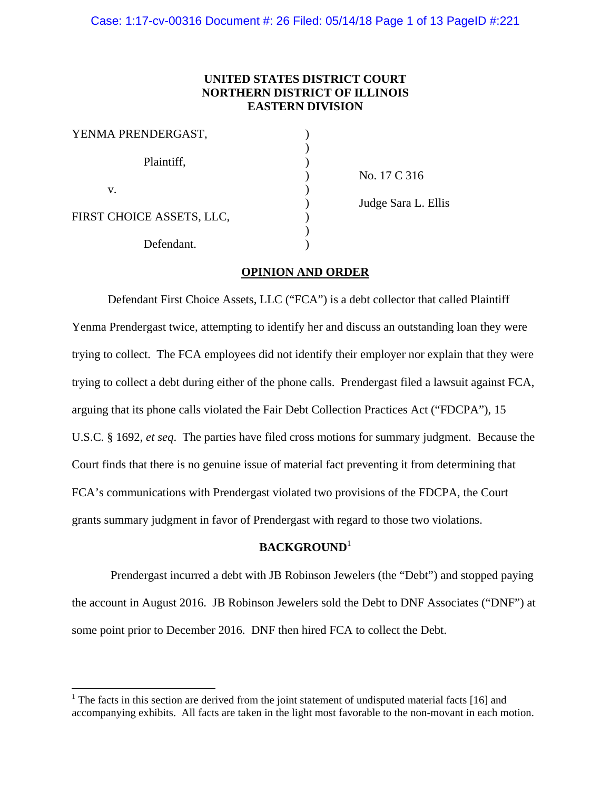Case: 1:17-cv-00316 Document #: 26 Filed: 05/14/18 Page 1 of 13 PageID #:221

# **UNITED STATES DISTRICT COURT NORTHERN DISTRICT OF ILLINOIS EASTERN DIVISION**

| YENMA PRENDERGAST,        |  |
|---------------------------|--|
| Plaintiff,                |  |
| v.                        |  |
| FIRST CHOICE ASSETS, LLC, |  |
| Defendant.                |  |

 $\overline{a}$ 

 ) No. 17 C 316 ) Judge Sara L. Ellis

# **OPINION AND ORDER**

 Defendant First Choice Assets, LLC ("FCA") is a debt collector that called Plaintiff Yenma Prendergast twice, attempting to identify her and discuss an outstanding loan they were trying to collect. The FCA employees did not identify their employer nor explain that they were trying to collect a debt during either of the phone calls. Prendergast filed a lawsuit against FCA, arguing that its phone calls violated the Fair Debt Collection Practices Act ("FDCPA"), 15 U.S.C. § 1692, *et seq*. The parties have filed cross motions for summary judgment. Because the Court finds that there is no genuine issue of material fact preventing it from determining that FCA's communications with Prendergast violated two provisions of the FDCPA, the Court grants summary judgment in favor of Prendergast with regard to those two violations.

# **BACKGROUND**<sup>1</sup>

 Prendergast incurred a debt with JB Robinson Jewelers (the "Debt") and stopped paying the account in August 2016. JB Robinson Jewelers sold the Debt to DNF Associates ("DNF") at some point prior to December 2016. DNF then hired FCA to collect the Debt.

<sup>&</sup>lt;sup>1</sup> The facts in this section are derived from the joint statement of undisputed material facts [16] and accompanying exhibits. All facts are taken in the light most favorable to the non-movant in each motion.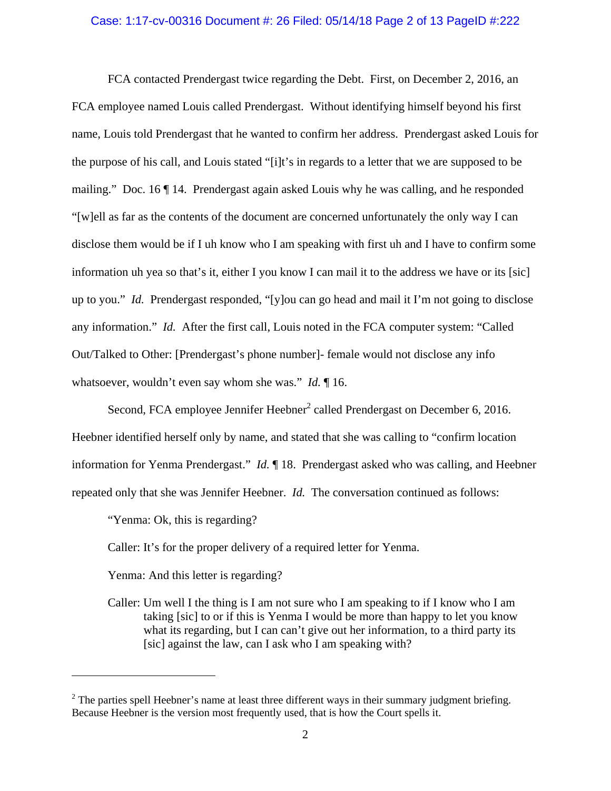#### Case: 1:17-cv-00316 Document #: 26 Filed: 05/14/18 Page 2 of 13 PageID #:222

 FCA contacted Prendergast twice regarding the Debt. First, on December 2, 2016, an FCA employee named Louis called Prendergast. Without identifying himself beyond his first name, Louis told Prendergast that he wanted to confirm her address. Prendergast asked Louis for the purpose of his call, and Louis stated "[i]t's in regards to a letter that we are supposed to be mailing." Doc. 16 ¶ 14. Prendergast again asked Louis why he was calling, and he responded "[w]ell as far as the contents of the document are concerned unfortunately the only way I can disclose them would be if I uh know who I am speaking with first uh and I have to confirm some information uh yea so that's it, either I you know I can mail it to the address we have or its [sic] up to you." *Id.* Prendergast responded, "[y]ou can go head and mail it I'm not going to disclose any information." *Id.* After the first call, Louis noted in the FCA computer system: "Called Out/Talked to Other: [Prendergast's phone number]- female would not disclose any info whatsoever, wouldn't even say whom she was." *Id.* ¶ 16.

Second, FCA employee Jennifer Heebner<sup>2</sup> called Prendergast on December 6, 2016. Heebner identified herself only by name, and stated that she was calling to "confirm location information for Yenma Prendergast." *Id.* ¶ 18. Prendergast asked who was calling, and Heebner repeated only that she was Jennifer Heebner. *Id.* The conversation continued as follows:

"Yenma: Ok, this is regarding?

1

Caller: It's for the proper delivery of a required letter for Yenma.

Yenma: And this letter is regarding?

 Caller: Um well I the thing is I am not sure who I am speaking to if I know who I am taking [sic] to or if this is Yenma I would be more than happy to let you know what its regarding, but I can can't give out her information, to a third party its [sic] against the law, can I ask who I am speaking with?

 $2^2$  The parties spell Heebner's name at least three different ways in their summary judgment briefing. Because Heebner is the version most frequently used, that is how the Court spells it.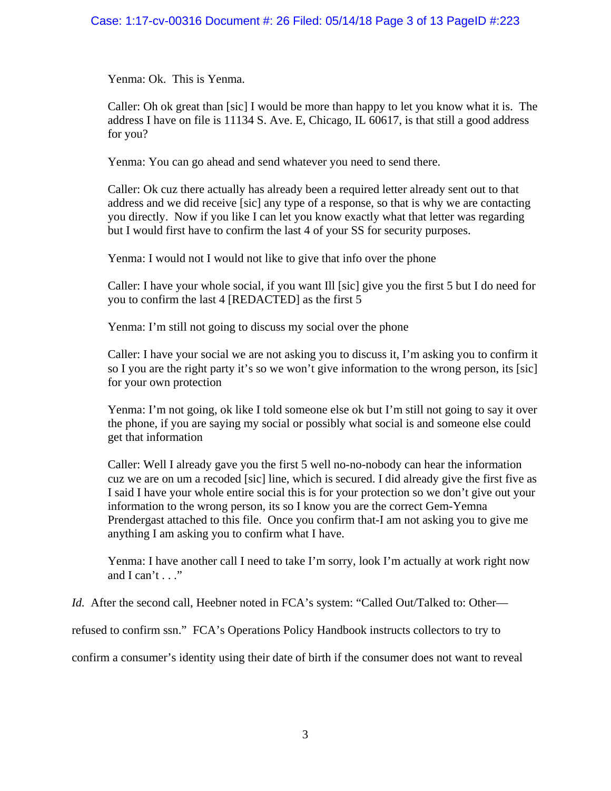Yenma: Ok. This is Yenma.

 Caller: Oh ok great than [sic] I would be more than happy to let you know what it is. The address I have on file is 11134 S. Ave. E, Chicago, IL 60617, is that still a good address for you?

Yenma: You can go ahead and send whatever you need to send there.

 Caller: Ok cuz there actually has already been a required letter already sent out to that address and we did receive [sic] any type of a response, so that is why we are contacting you directly. Now if you like I can let you know exactly what that letter was regarding but I would first have to confirm the last 4 of your SS for security purposes.

Yenma: I would not I would not like to give that info over the phone

 Caller: I have your whole social, if you want Ill [sic] give you the first 5 but I do need for you to confirm the last 4 [REDACTED] as the first 5

Yenma: I'm still not going to discuss my social over the phone

 Caller: I have your social we are not asking you to discuss it, I'm asking you to confirm it so I you are the right party it's so we won't give information to the wrong person, its [sic] for your own protection

 Yenma: I'm not going, ok like I told someone else ok but I'm still not going to say it over the phone, if you are saying my social or possibly what social is and someone else could get that information

 Caller: Well I already gave you the first 5 well no-no-nobody can hear the information cuz we are on um a recoded [sic] line, which is secured. I did already give the first five as I said I have your whole entire social this is for your protection so we don't give out your information to the wrong person, its so I know you are the correct Gem-Yemna Prendergast attached to this file. Once you confirm that-I am not asking you to give me anything I am asking you to confirm what I have.

 Yenma: I have another call I need to take I'm sorry, look I'm actually at work right now and  $I can't \ldots$ ."

*Id.* After the second call, Heebner noted in FCA's system: "Called Out/Talked to: Other—

refused to confirm ssn." FCA's Operations Policy Handbook instructs collectors to try to

confirm a consumer's identity using their date of birth if the consumer does not want to reveal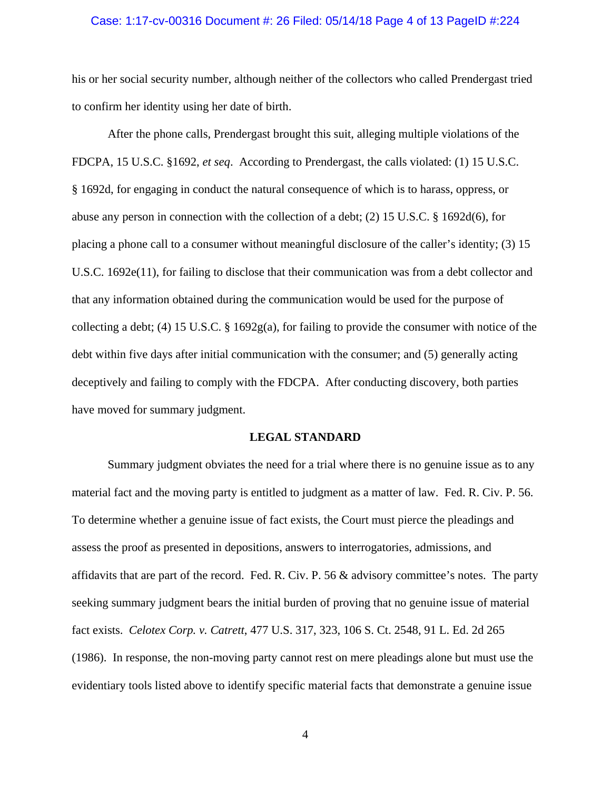#### Case: 1:17-cv-00316 Document #: 26 Filed: 05/14/18 Page 4 of 13 PageID #:224

his or her social security number, although neither of the collectors who called Prendergast tried to confirm her identity using her date of birth.

 After the phone calls, Prendergast brought this suit, alleging multiple violations of the FDCPA, 15 U.S.C. §1692, *et seq*. According to Prendergast, the calls violated: (1) 15 U.S.C. § 1692d, for engaging in conduct the natural consequence of which is to harass, oppress, or abuse any person in connection with the collection of a debt; (2) 15 U.S.C. § 1692d(6), for placing a phone call to a consumer without meaningful disclosure of the caller's identity; (3) 15 U.S.C. 1692e(11), for failing to disclose that their communication was from a debt collector and that any information obtained during the communication would be used for the purpose of collecting a debt; (4) 15 U.S.C. § 1692g(a), for failing to provide the consumer with notice of the debt within five days after initial communication with the consumer; and (5) generally acting deceptively and failing to comply with the FDCPA. After conducting discovery, both parties have moved for summary judgment.

### **LEGAL STANDARD**

 Summary judgment obviates the need for a trial where there is no genuine issue as to any material fact and the moving party is entitled to judgment as a matter of law. Fed. R. Civ. P. 56. To determine whether a genuine issue of fact exists, the Court must pierce the pleadings and assess the proof as presented in depositions, answers to interrogatories, admissions, and affidavits that are part of the record. Fed. R. Civ. P. 56 & advisory committee's notes. The party seeking summary judgment bears the initial burden of proving that no genuine issue of material fact exists. *Celotex Corp. v. Catrett*, 477 U.S. 317, 323, 106 S. Ct. 2548, 91 L. Ed. 2d 265 (1986). In response, the non-moving party cannot rest on mere pleadings alone but must use the evidentiary tools listed above to identify specific material facts that demonstrate a genuine issue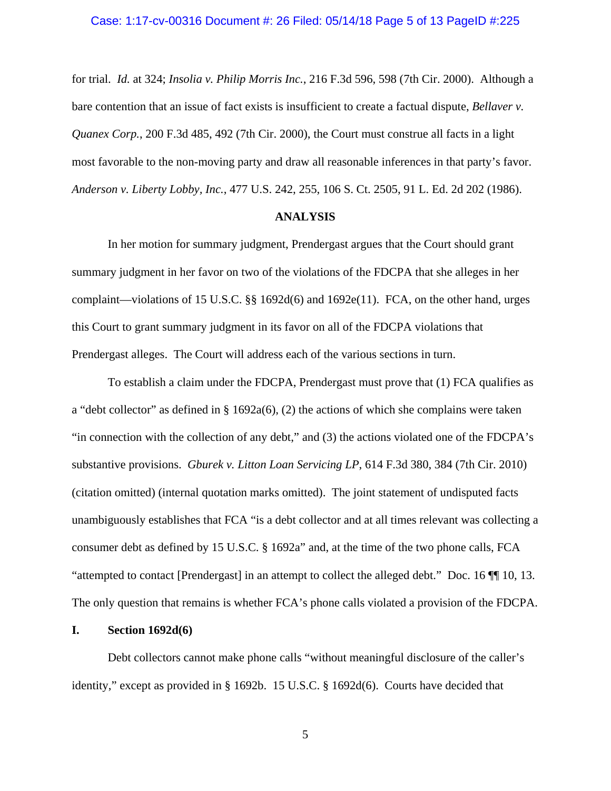for trial. *Id.* at 324; *Insolia v. Philip Morris Inc.*, 216 F.3d 596, 598 (7th Cir. 2000). Although a bare contention that an issue of fact exists is insufficient to create a factual dispute, *Bellaver v. Quanex Corp.*, 200 F.3d 485, 492 (7th Cir. 2000), the Court must construe all facts in a light most favorable to the non-moving party and draw all reasonable inferences in that party's favor. *Anderson v. Liberty Lobby, Inc.*, 477 U.S. 242, 255, 106 S. Ct. 2505, 91 L. Ed. 2d 202 (1986).

## **ANALYSIS**

 In her motion for summary judgment, Prendergast argues that the Court should grant summary judgment in her favor on two of the violations of the FDCPA that she alleges in her complaint—violations of 15 U.S.C. §§ 1692d(6) and 1692e(11). FCA, on the other hand, urges this Court to grant summary judgment in its favor on all of the FDCPA violations that Prendergast alleges. The Court will address each of the various sections in turn.

 To establish a claim under the FDCPA, Prendergast must prove that (1) FCA qualifies as a "debt collector" as defined in § 1692a(6), (2) the actions of which she complains were taken "in connection with the collection of any debt," and (3) the actions violated one of the FDCPA's substantive provisions. *Gburek v. Litton Loan Servicing LP*, 614 F.3d 380, 384 (7th Cir. 2010) (citation omitted) (internal quotation marks omitted). The joint statement of undisputed facts unambiguously establishes that FCA "is a debt collector and at all times relevant was collecting a consumer debt as defined by 15 U.S.C. § 1692a" and, at the time of the two phone calls, FCA "attempted to contact [Prendergast] in an attempt to collect the alleged debt." Doc. 16 ¶¶ 10, 13. The only question that remains is whether FCA's phone calls violated a provision of the FDCPA.

## **I. Section 1692d(6)**

 Debt collectors cannot make phone calls "without meaningful disclosure of the caller's identity," except as provided in § 1692b. 15 U.S.C. § 1692d(6). Courts have decided that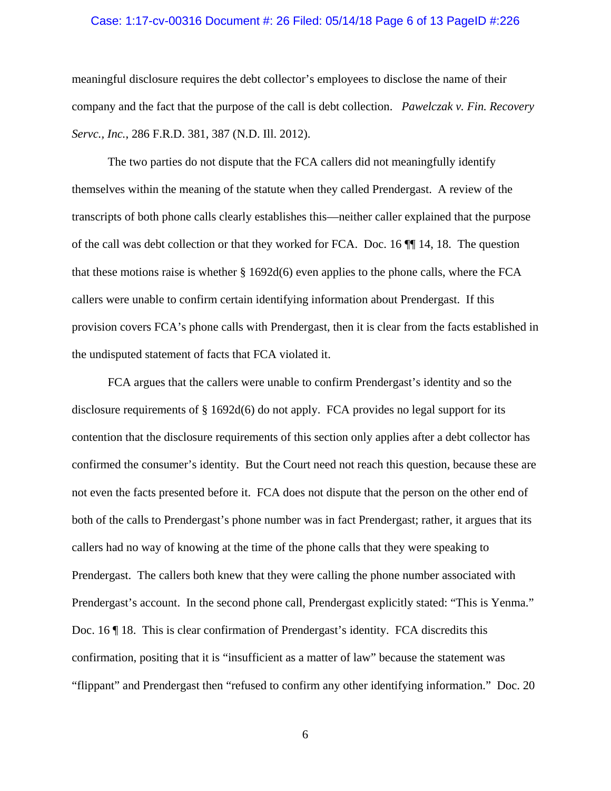### Case: 1:17-cv-00316 Document #: 26 Filed: 05/14/18 Page 6 of 13 PageID #:226

meaningful disclosure requires the debt collector's employees to disclose the name of their company and the fact that the purpose of the call is debt collection. *Pawelczak v. Fin. Recovery Servc., Inc.*, 286 F.R.D. 381, 387 (N.D. Ill. 2012).

 The two parties do not dispute that the FCA callers did not meaningfully identify themselves within the meaning of the statute when they called Prendergast. A review of the transcripts of both phone calls clearly establishes this—neither caller explained that the purpose of the call was debt collection or that they worked for FCA. Doc. 16 ¶¶ 14, 18. The question that these motions raise is whether § 1692d(6) even applies to the phone calls, where the FCA callers were unable to confirm certain identifying information about Prendergast. If this provision covers FCA's phone calls with Prendergast, then it is clear from the facts established in the undisputed statement of facts that FCA violated it.

 FCA argues that the callers were unable to confirm Prendergast's identity and so the disclosure requirements of § 1692d(6) do not apply. FCA provides no legal support for its contention that the disclosure requirements of this section only applies after a debt collector has confirmed the consumer's identity. But the Court need not reach this question, because these are not even the facts presented before it. FCA does not dispute that the person on the other end of both of the calls to Prendergast's phone number was in fact Prendergast; rather, it argues that its callers had no way of knowing at the time of the phone calls that they were speaking to Prendergast. The callers both knew that they were calling the phone number associated with Prendergast's account. In the second phone call, Prendergast explicitly stated: "This is Yenma." Doc. 16 ¶ 18. This is clear confirmation of Prendergast's identity. FCA discredits this confirmation, positing that it is "insufficient as a matter of law" because the statement was "flippant" and Prendergast then "refused to confirm any other identifying information." Doc. 20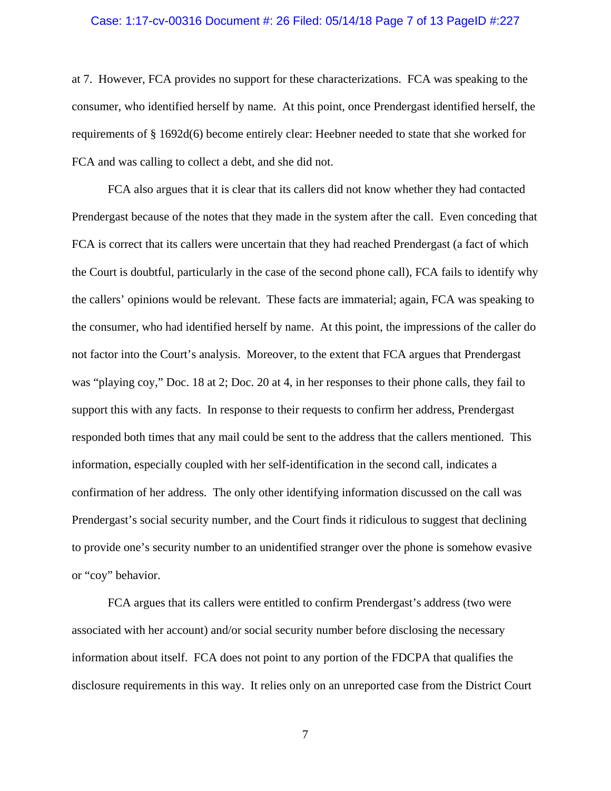## Case: 1:17-cv-00316 Document #: 26 Filed: 05/14/18 Page 7 of 13 PageID #:227

at 7. However, FCA provides no support for these characterizations. FCA was speaking to the consumer, who identified herself by name. At this point, once Prendergast identified herself, the requirements of § 1692d(6) become entirely clear: Heebner needed to state that she worked for FCA and was calling to collect a debt, and she did not.

 FCA also argues that it is clear that its callers did not know whether they had contacted Prendergast because of the notes that they made in the system after the call. Even conceding that FCA is correct that its callers were uncertain that they had reached Prendergast (a fact of which the Court is doubtful, particularly in the case of the second phone call), FCA fails to identify why the callers' opinions would be relevant. These facts are immaterial; again, FCA was speaking to the consumer, who had identified herself by name. At this point, the impressions of the caller do not factor into the Court's analysis. Moreover, to the extent that FCA argues that Prendergast was "playing coy," Doc. 18 at 2; Doc. 20 at 4, in her responses to their phone calls, they fail to support this with any facts. In response to their requests to confirm her address, Prendergast responded both times that any mail could be sent to the address that the callers mentioned. This information, especially coupled with her self-identification in the second call, indicates a confirmation of her address. The only other identifying information discussed on the call was Prendergast's social security number, and the Court finds it ridiculous to suggest that declining to provide one's security number to an unidentified stranger over the phone is somehow evasive or "coy" behavior.

 FCA argues that its callers were entitled to confirm Prendergast's address (two were associated with her account) and/or social security number before disclosing the necessary information about itself. FCA does not point to any portion of the FDCPA that qualifies the disclosure requirements in this way. It relies only on an unreported case from the District Court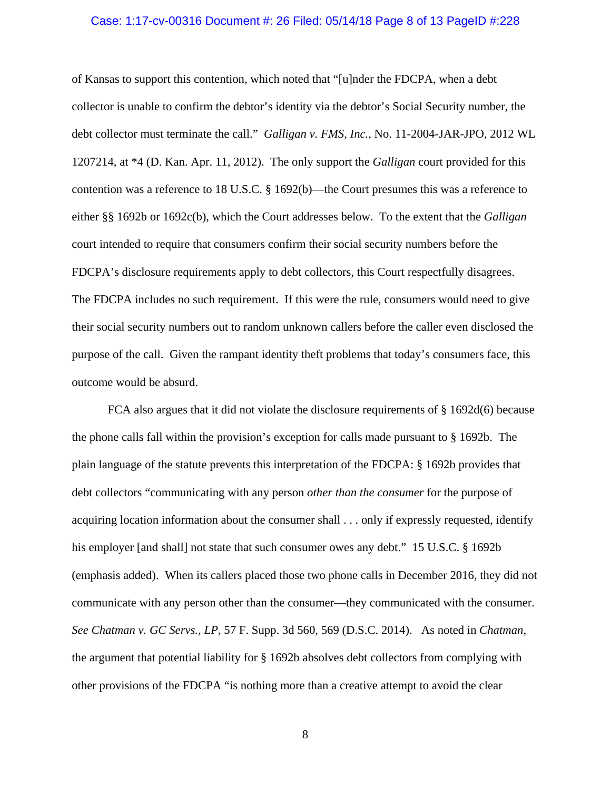## Case: 1:17-cv-00316 Document #: 26 Filed: 05/14/18 Page 8 of 13 PageID #:228

of Kansas to support this contention, which noted that "[u]nder the FDCPA, when a debt collector is unable to confirm the debtor's identity via the debtor's Social Security number, the debt collector must terminate the call." *Galligan v. FMS, Inc.*, No. 11-2004-JAR-JPO, 2012 WL 1207214, at \*4 (D. Kan. Apr. 11, 2012). The only support the *Galligan* court provided for this contention was a reference to 18 U.S.C. § 1692(b)—the Court presumes this was a reference to either §§ 1692b or 1692c(b), which the Court addresses below. To the extent that the *Galligan* court intended to require that consumers confirm their social security numbers before the FDCPA's disclosure requirements apply to debt collectors, this Court respectfully disagrees. The FDCPA includes no such requirement. If this were the rule, consumers would need to give their social security numbers out to random unknown callers before the caller even disclosed the purpose of the call. Given the rampant identity theft problems that today's consumers face, this outcome would be absurd.

 FCA also argues that it did not violate the disclosure requirements of § 1692d(6) because the phone calls fall within the provision's exception for calls made pursuant to § 1692b. The plain language of the statute prevents this interpretation of the FDCPA: § 1692b provides that debt collectors "communicating with any person *other than the consumer* for the purpose of acquiring location information about the consumer shall . . . only if expressly requested, identify his employer [and shall] not state that such consumer owes any debt." 15 U.S.C. § 1692b (emphasis added). When its callers placed those two phone calls in December 2016, they did not communicate with any person other than the consumer—they communicated with the consumer. *See Chatman v. GC Servs., LP*, 57 F. Supp. 3d 560, 569 (D.S.C. 2014). As noted in *Chatman*, the argument that potential liability for § 1692b absolves debt collectors from complying with other provisions of the FDCPA "is nothing more than a creative attempt to avoid the clear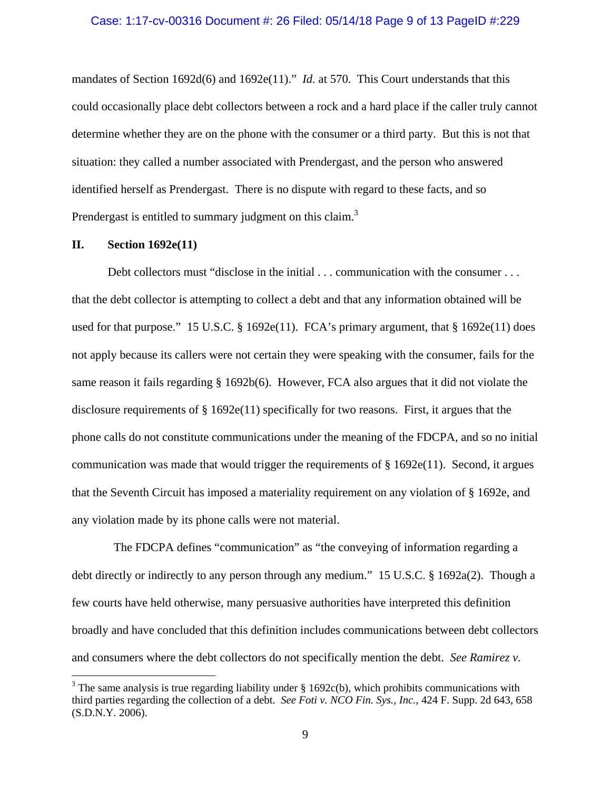### Case: 1:17-cv-00316 Document #: 26 Filed: 05/14/18 Page 9 of 13 PageID #:229

mandates of Section 1692d(6) and 1692e(11)." *Id.* at 570. This Court understands that this could occasionally place debt collectors between a rock and a hard place if the caller truly cannot determine whether they are on the phone with the consumer or a third party. But this is not that situation: they called a number associated with Prendergast, and the person who answered identified herself as Prendergast. There is no dispute with regard to these facts, and so Prendergast is entitled to summary judgment on this claim.<sup>3</sup>

## **II. Section 1692e(11)**

 $\overline{a}$ 

Debt collectors must "disclose in the initial . . . communication with the consumer . . . that the debt collector is attempting to collect a debt and that any information obtained will be used for that purpose." 15 U.S.C.  $\S$  1692e(11). FCA's primary argument, that  $\S$  1692e(11) does not apply because its callers were not certain they were speaking with the consumer, fails for the same reason it fails regarding § 1692b(6). However, FCA also argues that it did not violate the disclosure requirements of  $\S 1692e(11)$  specifically for two reasons. First, it argues that the phone calls do not constitute communications under the meaning of the FDCPA, and so no initial communication was made that would trigger the requirements of  $\S 1692e(11)$ . Second, it argues that the Seventh Circuit has imposed a materiality requirement on any violation of § 1692e, and any violation made by its phone calls were not material.

 The FDCPA defines "communication" as "the conveying of information regarding a debt directly or indirectly to any person through any medium." 15 U.S.C. § 1692a(2). Though a few courts have held otherwise, many persuasive authorities have interpreted this definition broadly and have concluded that this definition includes communications between debt collectors and consumers where the debt collectors do not specifically mention the debt. *See Ramirez v.* 

<sup>&</sup>lt;sup>3</sup> The same analysis is true regarding liability under  $\S$  1692c(b), which prohibits communications with third parties regarding the collection of a debt. *See Foti v. NCO Fin. Sys., Inc.*, 424 F. Supp. 2d 643, 658 (S.D.N.Y. 2006).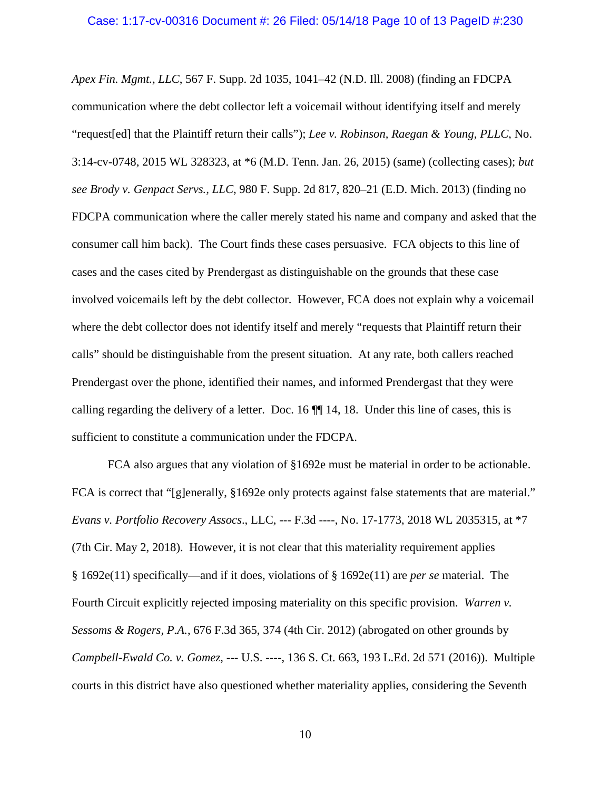*Apex Fin. Mgmt., LLC*, 567 F. Supp. 2d 1035, 1041–42 (N.D. Ill. 2008) (finding an FDCPA communication where the debt collector left a voicemail without identifying itself and merely "request[ed] that the Plaintiff return their calls"); *Lee v. Robinson, Raegan & Young, PLLC*, No. 3:14-cv-0748, 2015 WL 328323, at \*6 (M.D. Tenn. Jan. 26, 2015) (same) (collecting cases); *but see Brody v. Genpact Servs., LLC*, 980 F. Supp. 2d 817, 820–21 (E.D. Mich. 2013) (finding no FDCPA communication where the caller merely stated his name and company and asked that the consumer call him back). The Court finds these cases persuasive. FCA objects to this line of cases and the cases cited by Prendergast as distinguishable on the grounds that these case involved voicemails left by the debt collector. However, FCA does not explain why a voicemail where the debt collector does not identify itself and merely "requests that Plaintiff return their calls" should be distinguishable from the present situation. At any rate, both callers reached Prendergast over the phone, identified their names, and informed Prendergast that they were calling regarding the delivery of a letter. Doc. 16 ¶¶ 14, 18. Under this line of cases, this is sufficient to constitute a communication under the FDCPA.

 FCA also argues that any violation of §1692e must be material in order to be actionable. FCA is correct that "[g]enerally, §1692e only protects against false statements that are material." *Evans v. Portfolio Recovery Assocs*., LLC, --- F.3d ----, No. 17-1773, 2018 WL 2035315, at \*7 (7th Cir. May 2, 2018). However, it is not clear that this materiality requirement applies § 1692e(11) specifically—and if it does, violations of § 1692e(11) are *per se* material. The Fourth Circuit explicitly rejected imposing materiality on this specific provision. *Warren v. Sessoms & Rogers, P.A.*, 676 F.3d 365, 374 (4th Cir. 2012) (abrogated on other grounds by *Campbell-Ewald Co. v. Gomez*, --- U.S. ----, 136 S. Ct. 663, 193 L.Ed. 2d 571 (2016)). Multiple courts in this district have also questioned whether materiality applies, considering the Seventh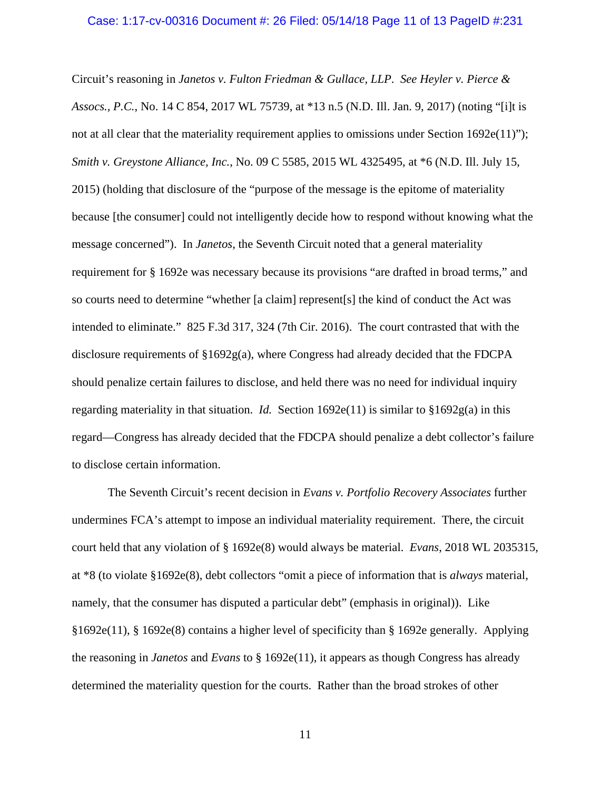#### Case: 1:17-cv-00316 Document #: 26 Filed: 05/14/18 Page 11 of 13 PageID #:231

Circuit's reasoning in *Janetos v. Fulton Friedman & Gullace, LLP*. *See Heyler v. Pierce & Assocs., P.C.*, No. 14 C 854, 2017 WL 75739, at \*13 n.5 (N.D. Ill. Jan. 9, 2017) (noting "[i]t is not at all clear that the materiality requirement applies to omissions under Section 1692e(11)"); *Smith v. Greystone Alliance, Inc.*, No. 09 C 5585, 2015 WL 4325495, at \*6 (N.D. Ill. July 15, 2015) (holding that disclosure of the "purpose of the message is the epitome of materiality because [the consumer] could not intelligently decide how to respond without knowing what the message concerned"). In *Janetos*, the Seventh Circuit noted that a general materiality requirement for § 1692e was necessary because its provisions "are drafted in broad terms," and so courts need to determine "whether [a claim] represent[s] the kind of conduct the Act was intended to eliminate." 825 F.3d 317, 324 (7th Cir. 2016). The court contrasted that with the disclosure requirements of  $\S1692g(a)$ , where Congress had already decided that the FDCPA should penalize certain failures to disclose, and held there was no need for individual inquiry regarding materiality in that situation. *Id.* Section  $1692e(11)$  is similar to  $$1692g(a)$  in this regard—Congress has already decided that the FDCPA should penalize a debt collector's failure to disclose certain information.

 The Seventh Circuit's recent decision in *Evans v. Portfolio Recovery Associates* further undermines FCA's attempt to impose an individual materiality requirement. There, the circuit court held that any violation of § 1692e(8) would always be material. *Evans*, 2018 WL 2035315, at \*8 (to violate §1692e(8), debt collectors "omit a piece of information that is *always* material, namely, that the consumer has disputed a particular debt" (emphasis in original)). Like §1692e(11), § 1692e(8) contains a higher level of specificity than § 1692e generally. Applying the reasoning in *Janetos* and *Evans* to § 1692e(11), it appears as though Congress has already determined the materiality question for the courts. Rather than the broad strokes of other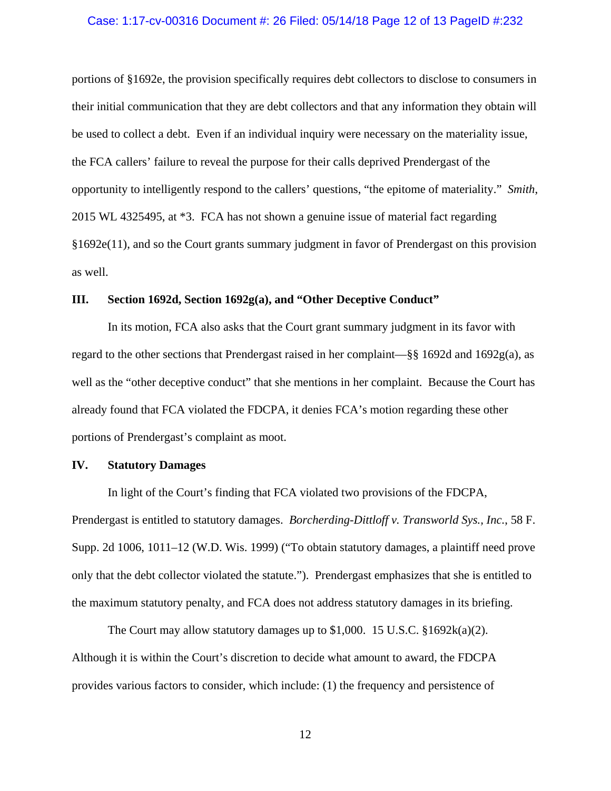#### Case: 1:17-cv-00316 Document #: 26 Filed: 05/14/18 Page 12 of 13 PageID #:232

portions of §1692e, the provision specifically requires debt collectors to disclose to consumers in their initial communication that they are debt collectors and that any information they obtain will be used to collect a debt. Even if an individual inquiry were necessary on the materiality issue, the FCA callers' failure to reveal the purpose for their calls deprived Prendergast of the opportunity to intelligently respond to the callers' questions, "the epitome of materiality." *Smith*, 2015 WL 4325495, at \*3. FCA has not shown a genuine issue of material fact regarding §1692e(11), and so the Court grants summary judgment in favor of Prendergast on this provision as well.

### **III. Section 1692d, Section 1692g(a), and "Other Deceptive Conduct"**

 In its motion, FCA also asks that the Court grant summary judgment in its favor with regard to the other sections that Prendergast raised in her complaint—§§ 1692d and 1692g(a), as well as the "other deceptive conduct" that she mentions in her complaint. Because the Court has already found that FCA violated the FDCPA, it denies FCA's motion regarding these other portions of Prendergast's complaint as moot.

## **IV. Statutory Damages**

 In light of the Court's finding that FCA violated two provisions of the FDCPA, Prendergast is entitled to statutory damages. *Borcherding-Dittloff v. Transworld Sys., Inc.*, 58 F. Supp. 2d 1006, 1011–12 (W.D. Wis. 1999) ("To obtain statutory damages, a plaintiff need prove only that the debt collector violated the statute."). Prendergast emphasizes that she is entitled to the maximum statutory penalty, and FCA does not address statutory damages in its briefing.

The Court may allow statutory damages up to \$1,000. 15 U.S.C.  $\S1692k(a)(2)$ . Although it is within the Court's discretion to decide what amount to award, the FDCPA provides various factors to consider, which include: (1) the frequency and persistence of